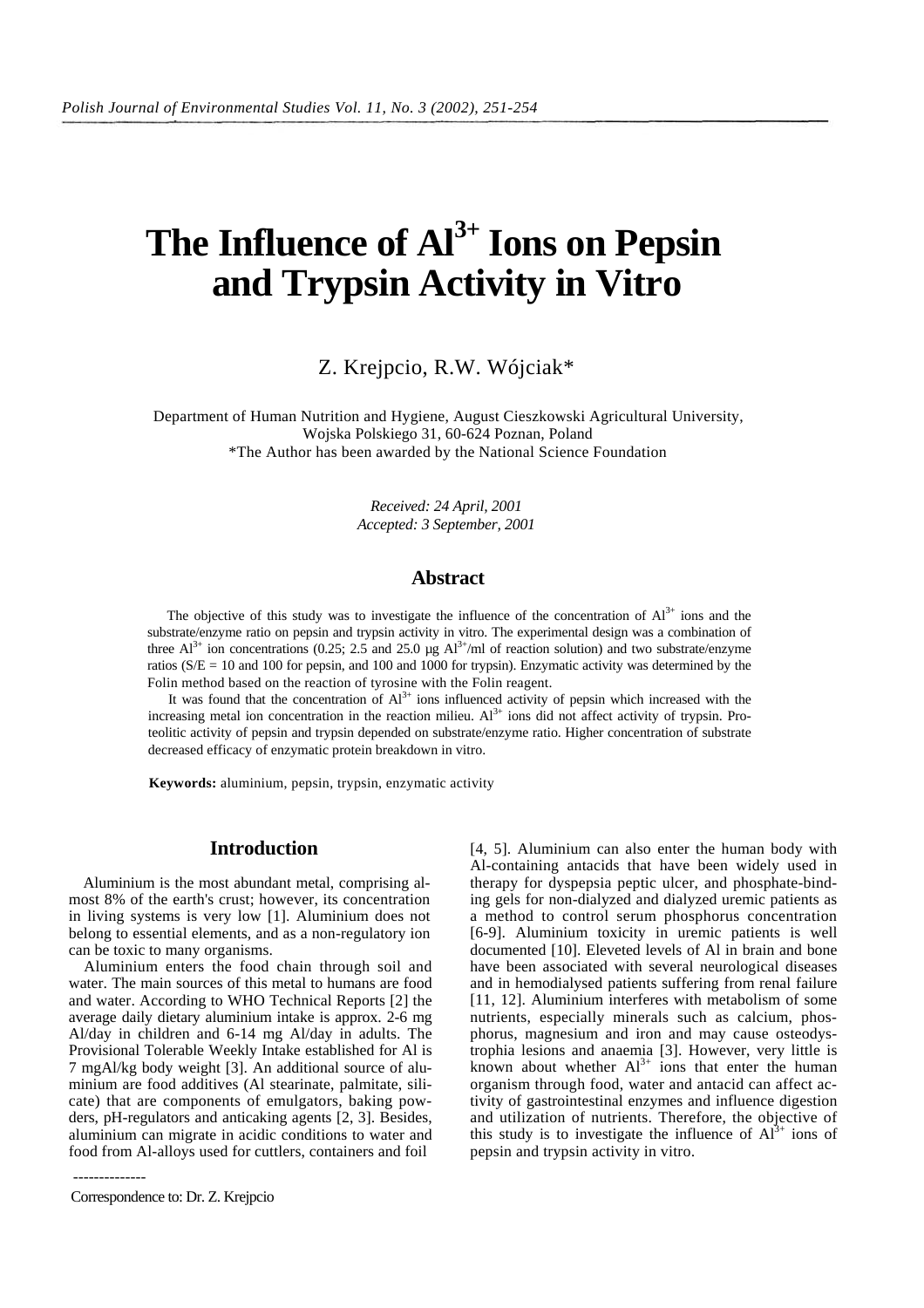# The Influence of  $Al^{3+}$  Ions on Pepsin **and Trypsin Activity in Vitro**

Z. Krejpcio, R.W. Wójciak\*

Department of Human Nutrition and Hygiene, August Cieszkowski Agricultural University, Wojska Polskiego 31, 60-624 Poznan, Poland \*The Author has been awarded by the National Science Foundation

> *Received: 24 April, 2001 Accepted: 3 September, 2001*

### **Abstract**

The objective of this study was to investigate the influence of the concentration of  $Al^{3+}$  ions and the substrate/enzyme ratio on pepsin and trypsin activity in vitro. The experimental design was a combination of three  $Al^{3+}$  ion concentrations (0.25; 2.5 and 25.0 µg  $Al^{3+}/ml$  of reaction solution) and two substrate/enzyme ratios (S/E = 10 and 100 for pepsin, and 100 and 1000 for trypsin). Enzymatic activity was determined by the Folin method based on the reaction of tyrosine with the Folin reagent.

It was found that the concentration of  $Al^{3+}$  ions influenced activity of pepsin which increased with the increasing metal ion concentration in the reaction milieu.  $Al^{3+}$  ions did not affect activity of trypsin. Proteolitic activity of pepsin and trypsin depended on substrate/enzyme ratio. Higher concentration of substrate decreased efficacy of enzymatic protein breakdown in vitro.

**Keywords:** aluminium, pepsin, trypsin, enzymatic activity

## **Introduction**

Aluminium is the most abundant metal, comprising almost 8% of the earth's crust; however, its concentration in living systems is very low [1]. Aluminium does not belong to essential elements, and as a non-regulatory ion can be toxic to many organisms.

Aluminium enters the food chain through soil and water. The main sources of this metal to humans are food and water. According to WHO Technical Reports [2] the average daily dietary aluminium intake is approx. 2-6 mg Al/day in children and 6-14 mg Al/day in adults. The Provisional Tolerable Weekly Intake established for Al is 7 mgAl/kg body weight [3]. An additional source of aluminium are food additives (Al stearinate, palmitate, silicate) that are components of emulgators, baking powders, pH-regulators and anticaking agents [2, 3]. Besides, aluminium can migrate in acidic conditions to water and food from Al-alloys used for cuttlers, containers and foil

-------------- Correspondence to: Dr. Z. Krejpcio

[4, 5]. Aluminium can also enter the human body with Al-containing antacids that have been widely used in therapy for dyspepsia peptic ulcer, and phosphate-binding gels for non-dialyzed and dialyzed uremic patients as a method to control serum phosphorus concentration [6-9]. Aluminium toxicity in uremic patients is well documented [10]. Eleveted levels of Al in brain and bone have been associated with several neurological diseases and in hemodialysed patients suffering from renal failure [11, 12]. Aluminium interferes with metabolism of some nutrients, especially minerals such as calcium, phosphorus, magnesium and iron and may cause osteodystrophia lesions and anaemia [3]. However, very little is known about whether  $Al^{3+}$  ions that enter the human organism through food, water and antacid can affect activity of gastrointestinal enzymes and influence digestion and utilization of nutrients. Therefore, the objective of this study is to investigate the influence of  $Al^{3+}$  ions of pepsin and trypsin activity in vitro.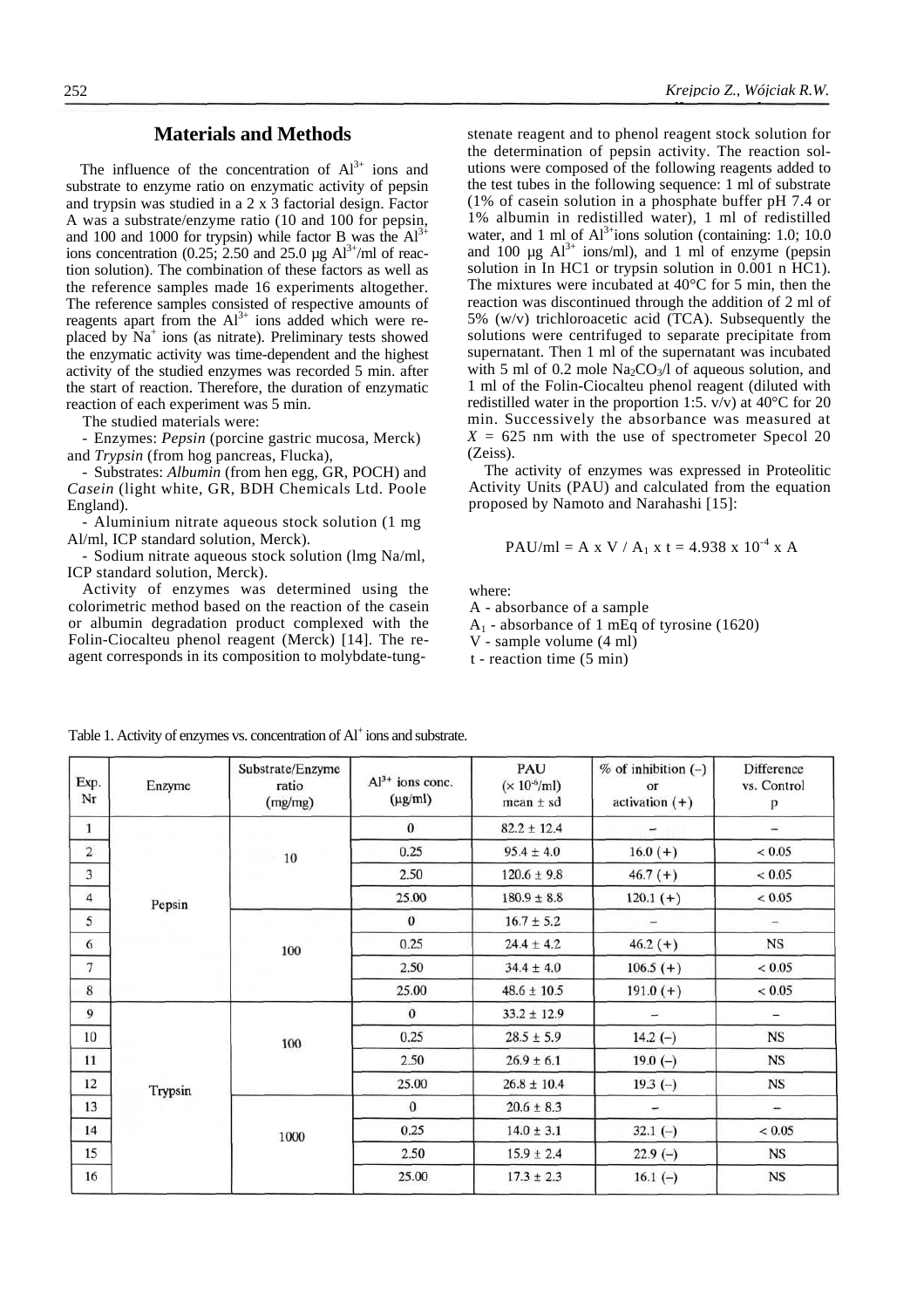# **Materials and Methods**

The influence of the concentration of  $Al^{3+}$  ions and substrate to enzyme ratio on enzymatic activity of pepsin and trypsin was studied in a 2 x 3 factorial design. Factor A was a substrate/enzyme ratio (10 and 100 for pepsin, and 100 and 1000 for trypsin) while factor B was the  $Al<sup>3+</sup>$ ions concentration (0.25; 2.50 and 25.0  $\mu$ g Al<sup>3+</sup>/ml of reaction solution). The combination of these factors as well as the reference samples made 16 experiments altogether. The reference samples consisted of respective amounts of reagents apart from the  $Al^{3+}$  ions added which were replaced by Na<sup>+</sup> ions (as nitrate). Preliminary tests showed the enzymatic activity was time-dependent and the highest activity of the studied enzymes was recorded 5 min. after the start of reaction. Therefore, the duration of enzymatic reaction of each experiment was 5 min.

The studied materials were:

- Enzymes: *Pepsin* (porcine gastric mucosa, Merck) and *Trypsin* (from hog pancreas, Flucka),

- Substrates: *Albumin* (from hen egg, GR, POCH) and *Casein* (light white, GR, BDH Chemicals Ltd. Poole England).

- Aluminium nitrate aqueous stock solution (1 mg Al/ml, ICP standard solution, Merck).

- Sodium nitrate aqueous stock solution (lmg Na/ml, ICP standard solution, Merck).

Activity of enzymes was determined using the colorimetric method based on the reaction of the casein or albumin degradation product complexed with the Folin-Ciocalteu phenol reagent (Merck) [14]. The reagent corresponds in its composition to molybdate-tung-

stenate reagent and to phenol reagent stock solution for the determination of pepsin activity. The reaction solutions were composed of the following reagents added to the test tubes in the following sequence: 1 ml of substrate (1% of casein solution in a phosphate buffer pH 7.4 or 1% albumin in redistilled water), 1 ml of redistilled water, and 1 ml of  $Al^{3+}$ ions solution (containing: 1.0; 10.0 and 100  $\mu$ g Al<sup>3+</sup> ions/ml), and 1 ml of enzyme (pepsin solution in In HC1 or trypsin solution in 0.001 n HC1). The mixtures were incubated at 40°C for 5 min, then the reaction was discontinued through the addition of 2 ml of 5% (w/v) trichloroacetic acid (TCA). Subsequently the solutions were centrifuged to separate precipitate from supernatant. Then 1 ml of the supernatant was incubated with 5 ml of 0.2 mole  $\text{Na}_2\text{CO}_3/1$  of aqueous solution, and 1 ml of the Folin-Ciocalteu phenol reagent (diluted with redistilled water in the proportion 1:5.  $v/v$ ) at 40 $^{\circ}$ C for 20 min. Successively the absorbance was measured at  $X = 625$  nm with the use of spectrometer Specol 20 (Zeiss).

The activity of enzymes was expressed in Proteolitic Activity Units (PAU) and calculated from the equation proposed by Namoto and Narahashi [15]:

$$
PAU/ml = A x V / A1 x t = 4.938 x 10-4 x A
$$

where:

A - absorbance of a sample  $A_1$  - absorbance of 1 mEq of tyrosine (1620) V - sample volume (4 ml)

t - reaction time (5 min)

| Exp.<br>Nr     | Enzyme  | Substrate/Enzyme<br>ratio<br>(mg/mg) | $Al3+$ ions conc.<br>$(\mu g/ml)$ | PAU<br>$(\times 10^{-6}$ /ml)<br>$mean \pm sd$ | $%$ of inhibition (-)<br>or<br>$activation (+)$ | Difference<br>vs. Control<br>p |
|----------------|---------|--------------------------------------|-----------------------------------|------------------------------------------------|-------------------------------------------------|--------------------------------|
| $\mathbf{1}$   |         |                                      | $\bf{0}$                          | $82.2 \pm 12.4$                                |                                                 | ÷                              |
| $\overline{2}$ | Pepsin  | $10\,$                               | 0.25                              | $95.4 \pm 4.0$                                 | $16.0 (+)$                                      | < 0.05                         |
| 3              |         |                                      | 2.50                              | $120.6 \pm 9.8$                                | $46.7 (+)$                                      | < 0.05                         |
| $\overline{4}$ |         |                                      | 25.00                             | $180.9 \pm 8.8$                                | $120.1 (+)$                                     | < 0.05                         |
| 5              |         | 100                                  | $\mathbf{0}$                      | $16.7 \pm 5.2$                                 |                                                 |                                |
| 6              |         |                                      | 0.25                              | $24.4 \pm 4.2$                                 | $46.2 (+)$                                      | <b>NS</b>                      |
| 7              |         |                                      | 2.50                              | $34.4 \pm 4.0$                                 | $106.5 (+)$                                     | < 0.05                         |
| 8              |         |                                      | 25.00                             | $48.6 \pm 10.5$                                | $191.0 (+)$                                     | < 0.05                         |
| 9              |         | 100                                  | $\mathbf{0}$                      | $33.2 \pm 12.9$                                |                                                 | $\overline{\phantom{a}}$       |
| 10             | Trypsin |                                      | 0.25                              | $28.5 \pm 5.9$                                 | $14.2(-)$                                       | <b>NS</b>                      |
| 11             |         |                                      | 2.50                              | $26.9 \pm 6.1$                                 | $19.0(-)$                                       | <b>NS</b>                      |
| 12             |         |                                      | 25.00                             | $26.8 \pm 10.4$                                | $19.3(-)$                                       | <b>NS</b>                      |
| 13             |         | 1000                                 | $\bf{0}$                          | $20.6 \pm 8.3$                                 |                                                 | $\overline{\phantom{a}}$       |
| 14             |         |                                      | 0.25                              | $14.0 \pm 3.1$                                 | $32.1(-)$                                       | < 0.05                         |
| 15             |         |                                      | 2.50                              | $15.9 \pm 2.4$                                 | $22.9(-)$                                       | <b>NS</b>                      |
| 16             |         |                                      | 25.00                             | $17.3 \pm 2.3$                                 | 16.1 $(-)$                                      | <b>NS</b>                      |

Table 1. Activity of enzymes vs. concentration of Al<sup>+</sup> ions and substrate.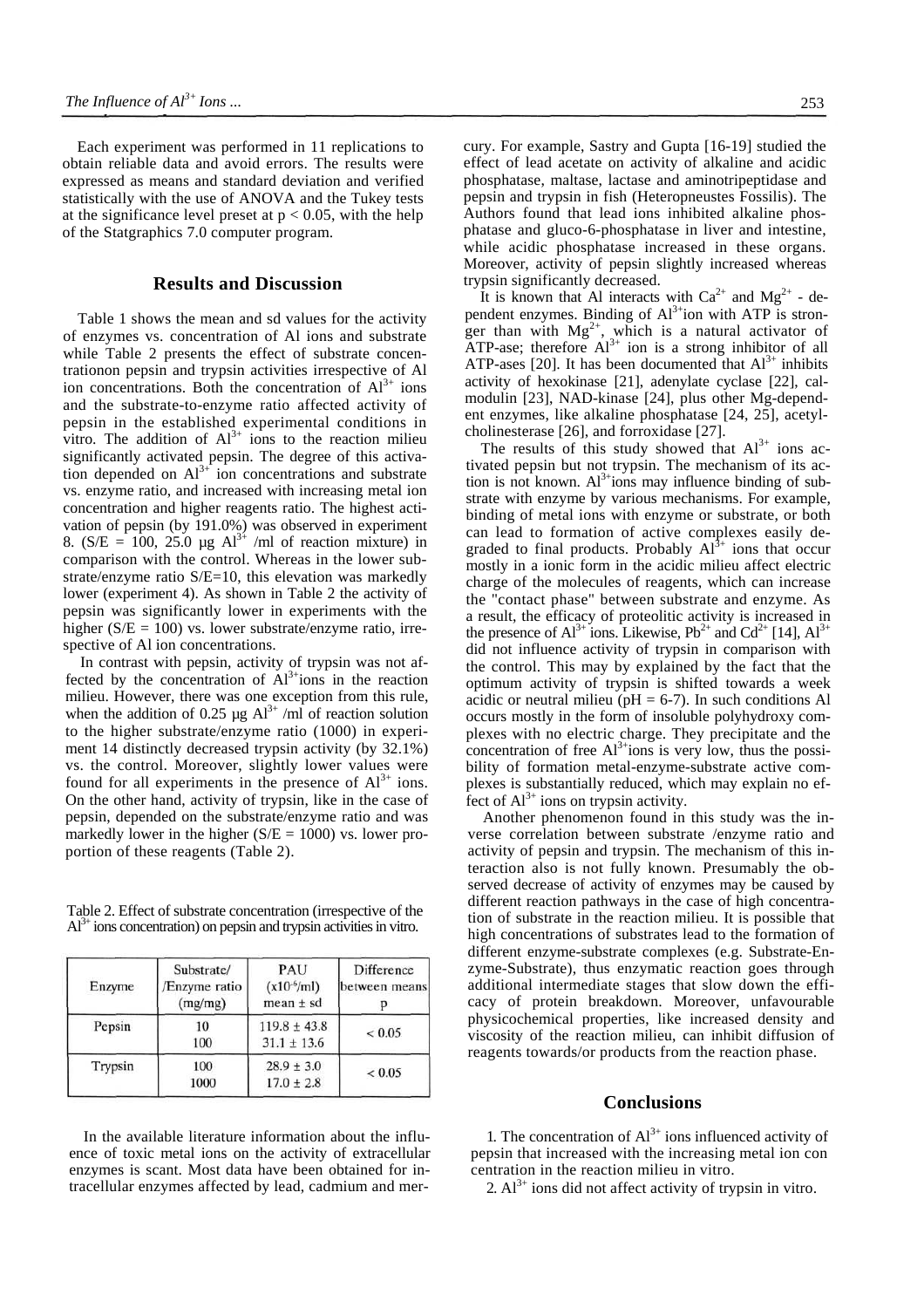Each experiment was performed in 11 replications to obtain reliable data and avoid errors. The results were expressed as means and standard deviation and verified statistically with the use of ANOVA and the Tukey tests at the significance level preset at  $p < 0.05$ , with the help of the Statgraphics 7.0 computer program.

#### **Results and Discussion**

Table 1 shows the mean and sd values for the activity of enzymes vs. concentration of Al ions and substrate while Table 2 presents the effect of substrate concentrationon pepsin and trypsin activities irrespective of Al ion concentrations. Both the concentration of  $Al^{3+}$  ions and the substrate-to-enzyme ratio affected activity of pepsin in the established experimental conditions in vitro. The addition of  $Al^{3+}$  ions to the reaction milieu significantly activated pepsin. The degree of this activation depended on  $Al^{3+}$  ion concentrations and substrate vs. enzyme ratio, and increased with increasing metal ion concentration and higher reagents ratio. The highest activation of pepsin (by 191.0%) was observed in experiment 8. ( $S/E = 100$ ,  $25.0 \mu g Al^{3+} /ml$  of reaction mixture) in comparison with the control. Whereas in the lower substrate/enzyme ratio S/E=10, this elevation was markedly lower (experiment 4). As shown in Table 2 the activity of pepsin was significantly lower in experiments with the higher ( $S/E = 100$ ) vs. lower substrate/enzyme ratio, irrespective of Al ion concentrations.

In contrast with pepsin, activity of trypsin was not affected by the concentration of  $Al^{3+}$ ions in the reaction milieu. However, there was one exception from this rule, when the addition of 0.25  $\mu$ g Al<sup>3+</sup> /ml of reaction solution to the higher substrate/enzyme ratio (1000) in experiment 14 distinctly decreased trypsin activity (by 32.1%) vs. the control. Moreover, slightly lower values were found for all experiments in the presence of  $Al^{3+}$  ions. On the other hand, activity of trypsin, like in the case of pepsin, depended on the substrate/enzyme ratio and was markedly lower in the higher  $(S/E = 1000)$  vs. lower proportion of these reagents (Table 2).

Table 2. Effect of substrate concentration (irrespective of the  $Al<sup>3+</sup>$  ions concentration) on pepsin and trypsin activities in vitro.

| Enzyme  | Substrate/<br>Enzyme ratio<br>(mg/mg) | PAU<br>$(x10^{-6}/m)$<br>$mean \pm sd$ | Difference<br>between means |  |
|---------|---------------------------------------|----------------------------------------|-----------------------------|--|
| Pepsin  | 10<br>100                             | $119.8 \pm 43.8$<br>$31.1 \pm 13.6$    | ${}< 0.05$                  |  |
| Trypsin | 100<br>1000                           | $28.9 \pm 3.0$<br>$17.0 \pm 2.8$       | ${}< 0.05$                  |  |

In the available literature information about the influence of toxic metal ions on the activity of extracellular enzymes is scant. Most data have been obtained for intracellular enzymes affected by lead, cadmium and mercury. For example, Sastry and Gupta [16-19] studied the effect of lead acetate on activity of alkaline and acidic phosphatase, maltase, lactase and aminotripeptidase and pepsin and trypsin in fish (Heteropneustes Fossilis). The Authors found that lead ions inhibited alkaline phosphatase and gluco-6-phosphatase in liver and intestine, while acidic phosphatase increased in these organs. Moreover, activity of pepsin slightly increased whereas trypsin significantly decreased.

It is known that Al interacts with  $Ca^{2+}$  and  $Mg^{2+}$  - dependent enzymes. Binding of  $Al^{3+}$ ion with ATP is stronger than with  $Mg^{2+}$ , which is a natural activator of ATP-ase; therefore  $Al^{3+}$  ion is a strong inhibitor of all ATP-ases [20]. It has been documented that  $Al^{3+}$  inhibits activity of hexokinase [21], adenylate cyclase [22], calmodulin [23], NAD-kinase [24], plus other Mg-dependent enzymes, like alkaline phosphatase [24, 25], acetylcholinesterase [26], and forroxidase [27].

The results of this study showed that  $Al^{3+}$  ions activated pepsin but not trypsin. The mechanism of its action is not known.  $Al^{3+}$ ions may influence binding of substrate with enzyme by various mechanisms. For example, binding of metal ions with enzyme or substrate, or both can lead to formation of active complexes easily degraded to final products. Probably  $Al^{3+}$  ions that occur mostly in a ionic form in the acidic milieu affect electric charge of the molecules of reagents, which can increase the "contact phase" between substrate and enzyme. As a result, the efficacy of proteolitic activity is increased in the presence of  $Al^{3+}$  ions. Likewise, Pb<sup>2+</sup> and Cd<sup>2+</sup> [14],  $Al^{3+}$ did not influence activity of trypsin in comparison with the control. This may by explained by the fact that the optimum activity of trypsin is shifted towards a week acidic or neutral milieu ( $pH = 6-7$ ). In such conditions Al occurs mostly in the form of insoluble polyhydroxy complexes with no electric charge. They precipitate and the concentration of free  $Al^{3+}$ ions is very low, thus the possibility of formation metal-enzyme-substrate active complexes is substantially reduced, which may explain no effect of  $Al^{3+}$  ions on trypsin activity.

Another phenomenon found in this study was the inverse correlation between substrate /enzyme ratio and activity of pepsin and trypsin. The mechanism of this interaction also is not fully known. Presumably the observed decrease of activity of enzymes may be caused by different reaction pathways in the case of high concentration of substrate in the reaction milieu. It is possible that high concentrations of substrates lead to the formation of different enzyme-substrate complexes (e.g. Substrate-Enzyme-Substrate), thus enzymatic reaction goes through additional intermediate stages that slow down the efficacy of protein breakdown. Moreover, unfavourable physicochemical properties, like increased density and viscosity of the reaction milieu, can inhibit diffusion of reagents towards/or products from the reaction phase.

#### **Conclusions**

1. The concentration of  $Al^{3+}$  ions influenced activity of pepsin that increased with the increasing metal ion con centration in the reaction milieu in vitro.

2.  $Al^{3+}$  ions did not affect activity of trypsin in vitro.